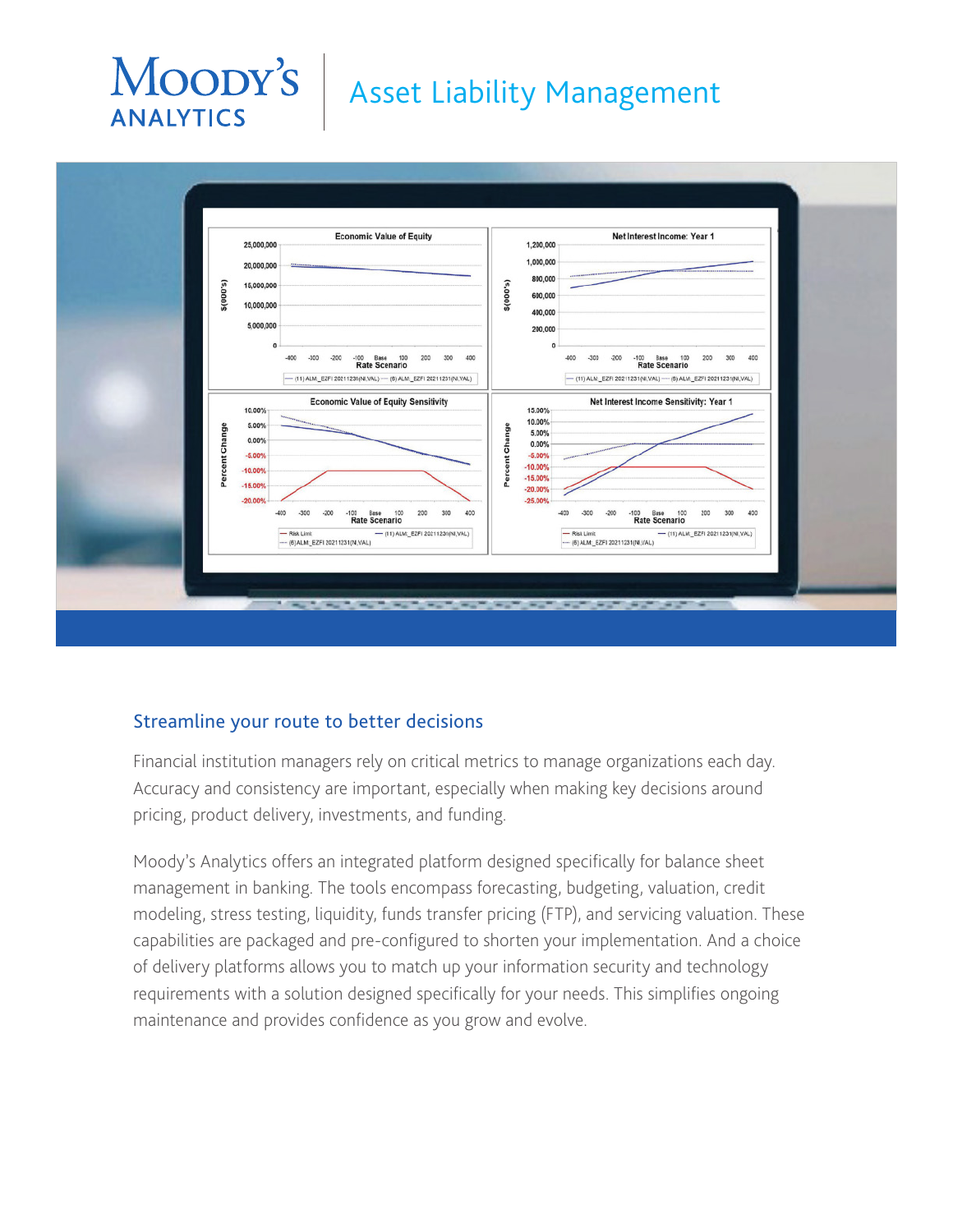# Moody's **ANALYTICS**

# Asset Liability Management



#### Streamline your route to better decisions

Financial institution managers rely on critical metrics to manage organizations each day. Accuracy and consistency are important, especially when making key decisions around pricing, product delivery, investments, and funding.

Moody's Analytics offers an integrated platform designed specifically for balance sheet management in banking. The tools encompass forecasting, budgeting, valuation, credit modeling, stress testing, liquidity, funds transfer pricing (FTP), and servicing valuation. These capabilities are packaged and pre-configured to shorten your implementation. And a choice of delivery platforms allows you to match up your information security and technology requirements with a solution designed specifically for your needs. This simplifies ongoing maintenance and provides confidence as you grow and evolve.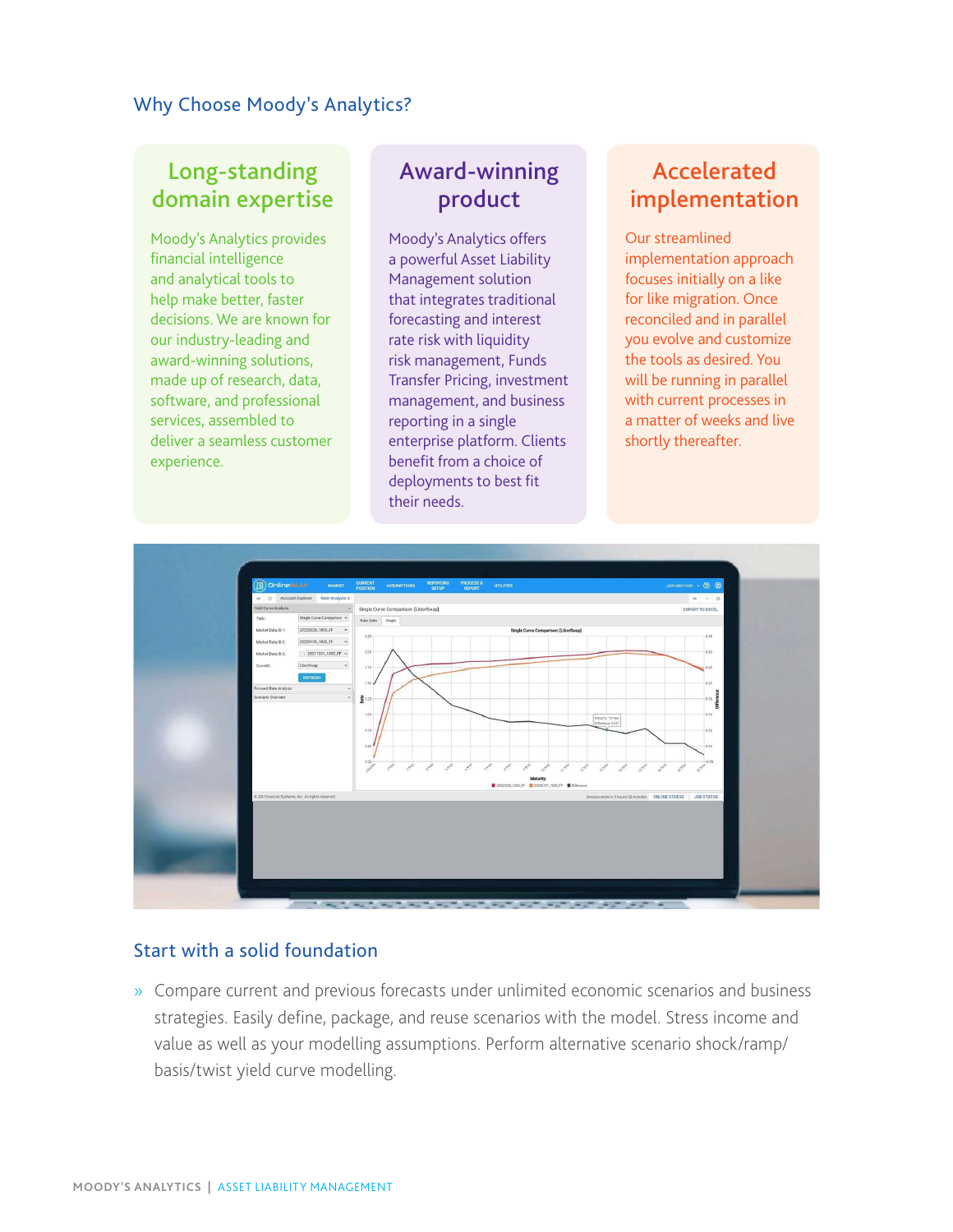#### Why Choose Moody's Analytics?

### Long-standing domain expertise

Moody's Analytics provides financial intelligence and analytical tools to help make better, faster decisions. We are known for our industry-leading and award-winning solutions, made up of research, data, software, and professional services, assembled to deliver a seamless customer experience.

### Award-winning product

Moody's Analytics offers a powerful Asset Liability Management solution that integrates traditional forecasting and interest rate risk with liquidity risk management, Funds Transfer Pricing, investment management, and business reporting in a single enterprise platform. Clients benefit from a choice of deployments to best fit their needs.

## Accelerated implementation

Our streamlined implementation approach focuses initially on a like for like migration. Once reconciled and in parallel you evolve and customize the tools as desired. You will be running in parallel with current processes in a matter of weeks and live shortly thereafter.



#### Start with a solid foundation

» Compare current and previous forecasts under unlimited economic scenarios and business strategies. Easily define, package, and reuse scenarios with the model. Stress income and value as well as your modelling assumptions. Perform alternative scenario shock/ramp/ basis/twist yield curve modelling.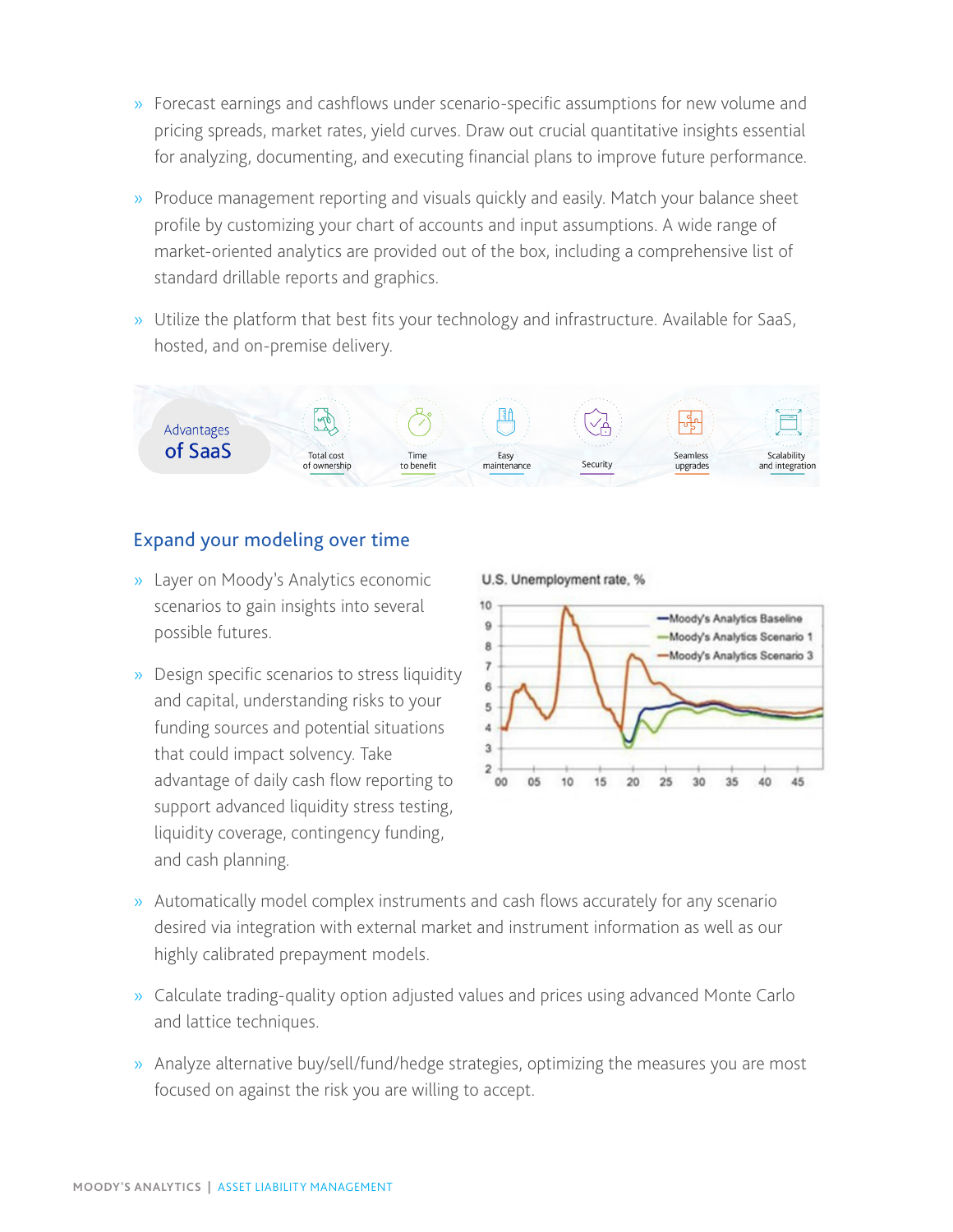- » Forecast earnings and cashflows under scenario-specific assumptions for new volume and pricing spreads, market rates, yield curves. Draw out crucial quantitative insights essential for analyzing, documenting, and executing financial plans to improve future performance.
- » Produce management reporting and visuals quickly and easily. Match your balance sheet profile by customizing your chart of accounts and input assumptions. A wide range of market-oriented analytics are provided out of the box, including a comprehensive list of standard drillable reports and graphics.
- » Utilize the platform that best fits your technology and infrastructure. Available for SaaS, hosted, and on-premise delivery.



#### Expand your modeling over time

- » Layer on Moody's Analytics economic scenarios to gain insights into several possible futures.
- » Design specific scenarios to stress liquidity and capital, understanding risks to your funding sources and potential situations that could impact solvency. Take advantage of daily cash flow reporting to support advanced liquidity stress testing, liquidity coverage, contingency funding, and cash planning.

U.S. Unemployment rate, %



- » Automatically model complex instruments and cash flows accurately for any scenario desired via integration with external market and instrument information as well as our highly calibrated prepayment models.
- » Calculate trading-quality option adjusted values and prices using advanced Monte Carlo and lattice techniques.
- » Analyze alternative buy/sell/fund/hedge strategies, optimizing the measures you are most focused on against the risk you are willing to accept.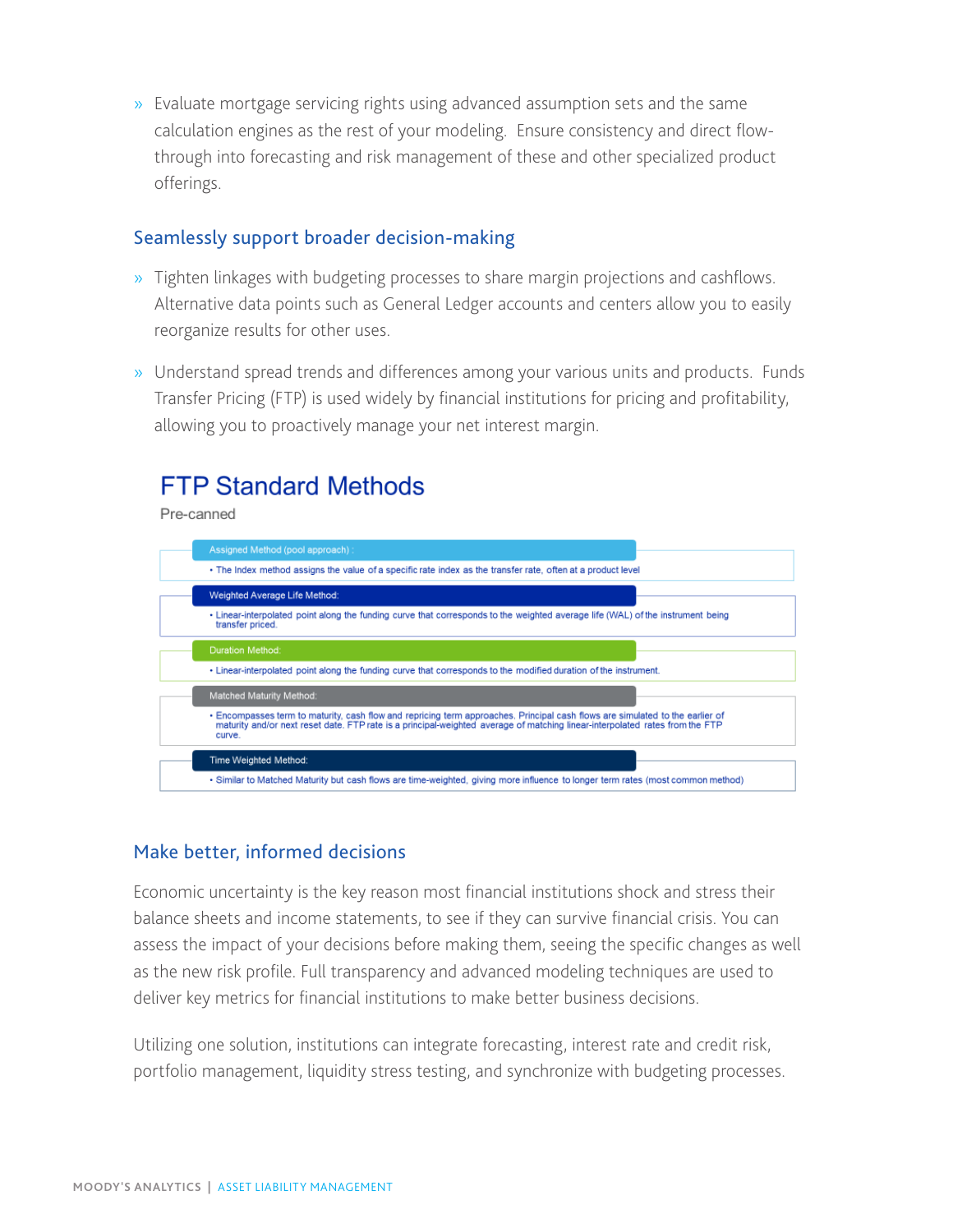» Evaluate mortgage servicing rights using advanced assumption sets and the same calculation engines as the rest of your modeling. Ensure consistency and direct flowthrough into forecasting and risk management of these and other specialized product offerings.

#### Seamlessly support broader decision-making

- » Tighten linkages with budgeting processes to share margin projections and cashflows. Alternative data points such as General Ledger accounts and centers allow you to easily reorganize results for other uses.
- » Understand spread trends and differences among your various units and products. Funds Transfer Pricing (FTP) is used widely by financial institutions for pricing and profitability, allowing you to proactively manage your net interest margin.

## **FTP Standard Methods**

Pre-canned



#### Make better, informed decisions

Economic uncertainty is the key reason most financial institutions shock and stress their balance sheets and income statements, to see if they can survive financial crisis. You can assess the impact of your decisions before making them, seeing the specific changes as well as the new risk profile. Full transparency and advanced modeling techniques are used to deliver key metrics for financial institutions to make better business decisions.

Utilizing one solution, institutions can integrate forecasting, interest rate and credit risk, portfolio management, liquidity stress testing, and synchronize with budgeting processes.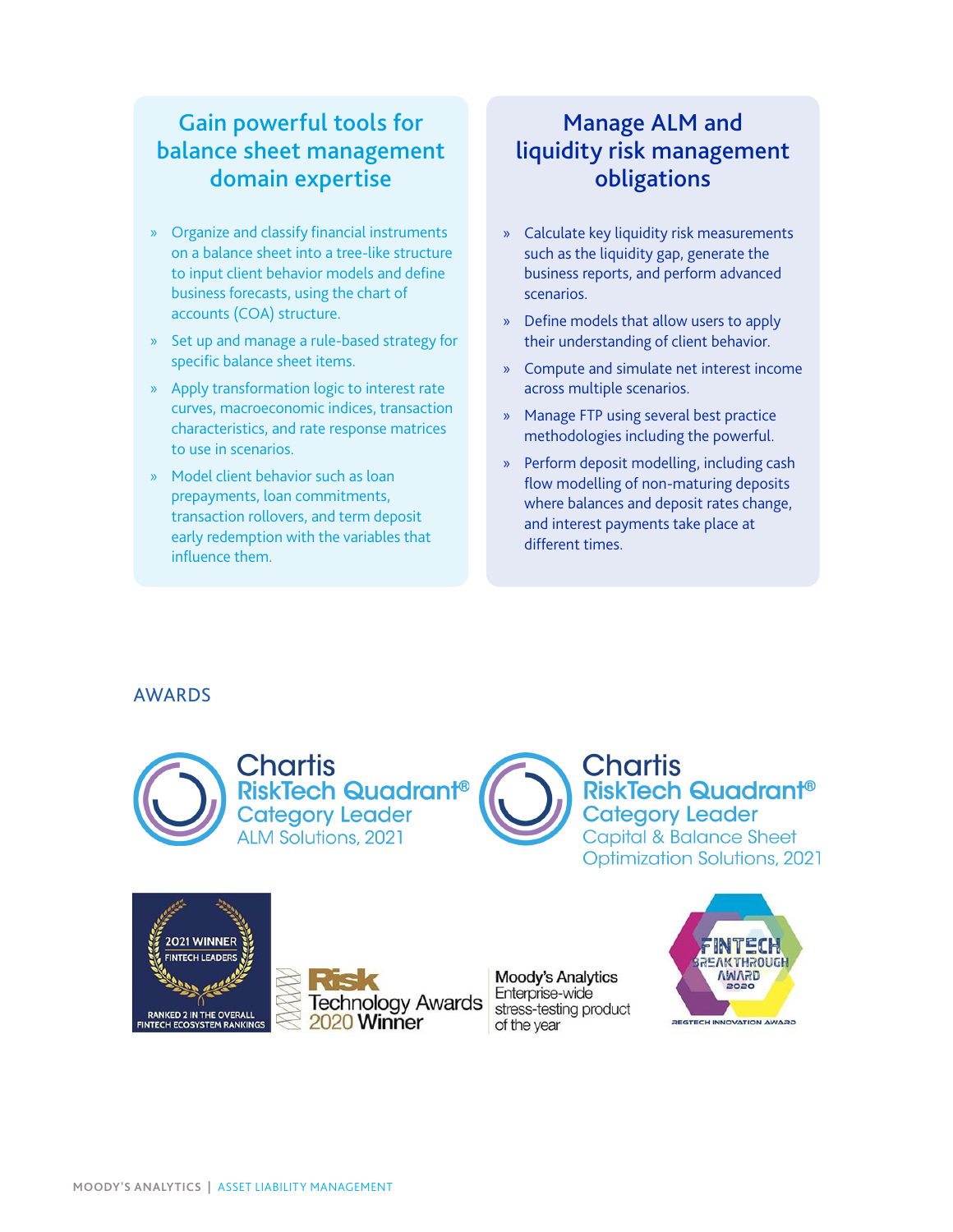## Gain powerful tools for balance sheet management domain expertise

- » Organize and classify financial instruments on a balance sheet into a tree-like structure to input client behavior models and define business forecasts, using the chart of accounts (COA) structure.
- » Set up and manage a rule-based strategy for specific balance sheet items.
- » Apply transformation logic to interest rate curves, macroeconomic indices, transaction characteristics, and rate response matrices to use in scenarios.
- » Model client behavior such as loan prepayments, loan commitments, transaction rollovers, and term deposit early redemption with the variables that influence them.

## Manage ALM and liquidity risk management obligations

- » Calculate key liquidity risk measurements such as the liquidity gap, generate the business reports, and perform advanced scenarios.
- » Define models that allow users to apply their understanding of client behavior.
- » Compute and simulate net interest income across multiple scenarios.
- » Manage FTP using several best practice methodologies including the powerful.
- » Perform deposit modelling, including cash flow modelling of non-maturing deposits where balances and deposit rates change, and interest payments take place at different times.

#### AWARDS





**Moody's Analytics** Enterprise-wide stress-testing product of the year